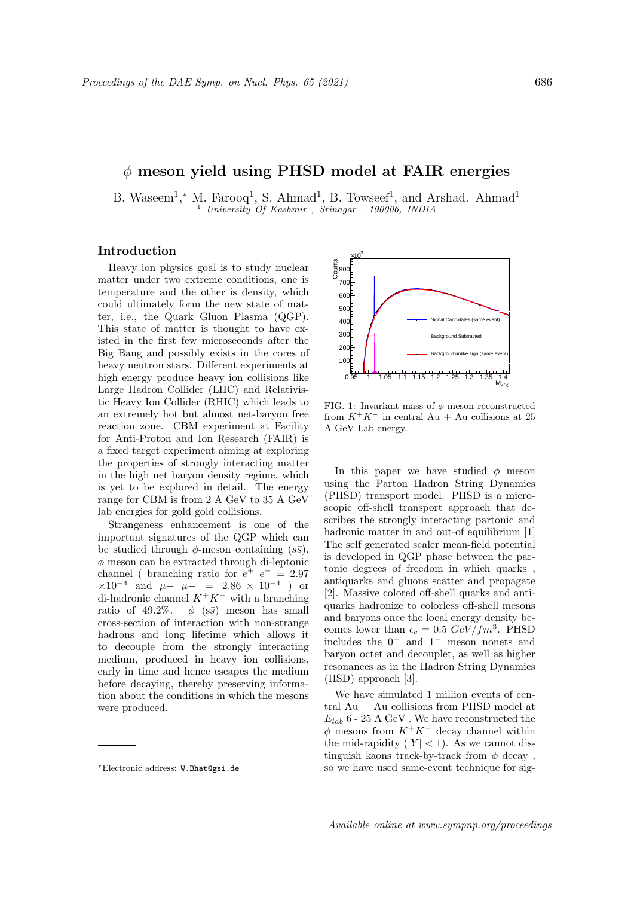## $\phi$  meson yield using PHSD model at FAIR energies

B. Waseem<sup>1</sup>,\* M. Farooq<sup>1</sup>, S. Ahmad<sup>1</sup>, B. Towseef<sup>1</sup>, and Arshad. Ahmad<sup>1</sup> <sup>1</sup> University Of Kashmir , Srinagar - 190006, INDIA

## Introduction

Heavy ion physics goal is to study nuclear matter under two extreme conditions, one is temperature and the other is density, which could ultimately form the new state of matter, i.e., the Quark Gluon Plasma (QGP). This state of matter is thought to have existed in the first few microseconds after the Big Bang and possibly exists in the cores of heavy neutron stars. Different experiments at high energy produce heavy ion collisions like Large Hadron Collider (LHC) and Relativistic Heavy Ion Collider (RHIC) which leads to an extremely hot but almost net-baryon free reaction zone. CBM experiment at Facility for Anti-Proton and Ion Research (FAIR) is a fixed target experiment aiming at exploring the properties of strongly interacting matter in the high net baryon density regime, which is yet to be explored in detail. The energy range for CBM is from 2 A GeV to 35 A GeV lab energies for gold gold collisions.

Strangeness enhancement is one of the important signatures of the QGP which can be studied through  $\phi$ -meson containing  $(s\bar{s})$ .  $\phi$  meson can be extracted through di-leptonic channel ( branching ratio for  $e^+$   $e^-$  = 2.97  $\times 10^{-4}$  and  $\mu + \mu - = 2.86 \times 10^{-4}$  ) or di-hadronic channel  $K^+K^-$  with a branching ratio of 49.2%.  $\phi$  (s $\bar{s}$ ) meson has small cross-section of interaction with non-strange hadrons and long lifetime which allows it to decouple from the strongly interacting medium, produced in heavy ion collisions, early in time and hence escapes the medium before decaying, thereby preserving information about the conditions in which the mesons were produced.



FIG. 1: Invariant mass of  $\phi$  meson reconstructed from  $K^+K^-$  in central Au + Au collisions at 25 A GeV Lab energy.

In this paper we have studied  $\phi$  meson using the Parton Hadron String Dynamics (PHSD) transport model. PHSD is a microscopic off-shell transport approach that describes the strongly interacting partonic and hadronic matter in and out-of equilibrium [1] The self generated scaler mean-field potential is developed in QGP phase between the partonic degrees of freedom in which quarks , antiquarks and gluons scatter and propagate [2]. Massive colored off-shell quarks and antiquarks hadronize to colorless off-shell mesons and baryons once the local energy density becomes lower than  $\epsilon_c = 0.5 \ GeV/fm^3$ . PHSD includes the 0<sup>−</sup> and 1<sup>−</sup> meson nonets and baryon octet and decouplet, as well as higher resonances as in the Hadron String Dynamics (HSD) approach [3].

We have simulated 1 million events of central  $Au + Au$  collisions from PHSD model at  $E_{lab}$  6 - 25 A GeV. We have reconstructed the  $\phi$  mesons from  $K^+K^-$  decay channel within the mid-rapidity  $(|Y| < 1)$ . As we cannot distinguish kaons track-by-track from  $\phi$  decay, so we have used same-event technique for sig-

<sup>∗</sup>Electronic address: W.Bhat@gsi.de